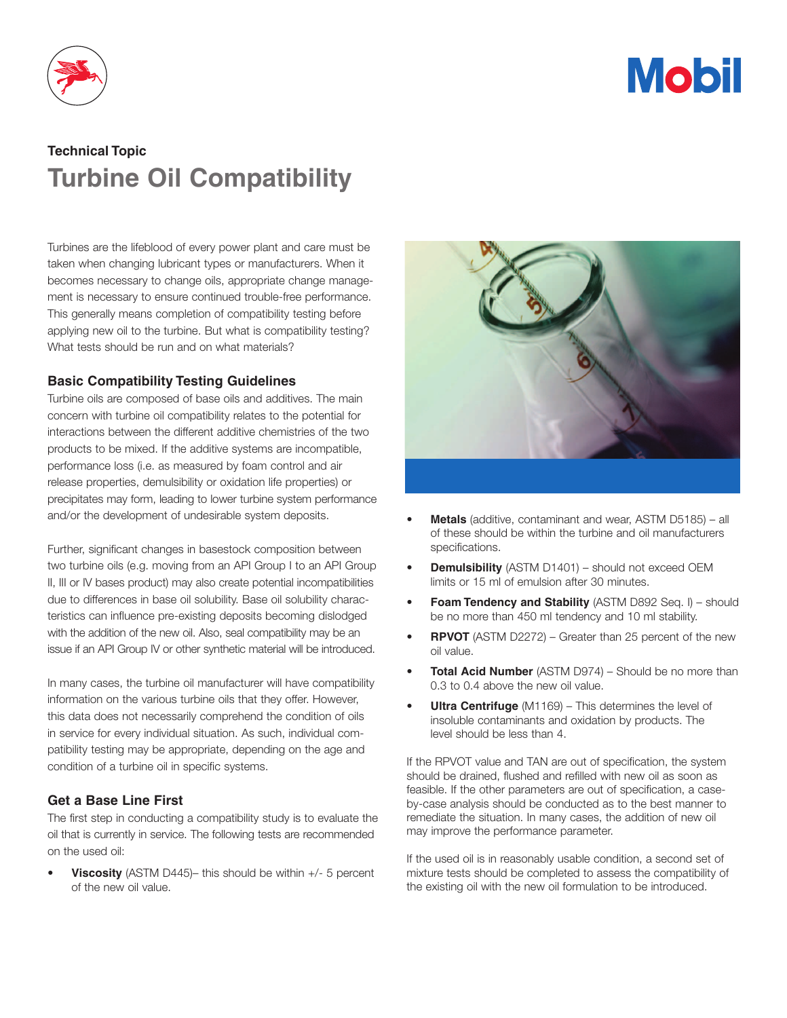

# **Mobil**

# **Technical Topic Turbine Oil Compatibility**

Turbines are the lifeblood of every power plant and care must be taken when changing lubricant types or manufacturers. When it becomes necessary to change oils, appropriate change management is necessary to ensure continued trouble-free performance. This generally means completion of compatibility testing before applying new oil to the turbine. But what is compatibility testing? What tests should be run and on what materials?

## **Basic Compatibility Testing Guidelines**

Turbine oils are composed of base oils and additives. The main concern with turbine oil compatibility relates to the potential for interactions between the different additive chemistries of the two products to be mixed. If the additive systems are incompatible, performance loss (i.e. as measured by foam control and air release properties, demulsibility or oxidation life properties) or precipitates may form, leading to lower turbine system performance and/or the development of undesirable system deposits.

Further, significant changes in basestock composition between two turbine oils (e.g. moving from an API Group I to an API Group II, III or IV bases product) may also create potential incompatibilities due to differences in base oil solubility. Base oil solubility characteristics can influence pre-existing deposits becoming dislodged with the addition of the new oil. Also, seal compatibility may be an issue if an API Group IV or other synthetic material will be introduced.

In many cases, the turbine oil manufacturer will have compatibility information on the various turbine oils that they offer. However, this data does not necessarily comprehend the condition of oils in service for every individual situation. As such, individual compatibility testing may be appropriate, depending on the age and condition of a turbine oil in specific systems.

### **Get a Base Line First**

The first step in conducting a compatibility study is to evaluate the oil that is currently in service. The following tests are recommended on the used oil:

**Viscosity** (ASTM D445)– this should be within +/- 5 percent of the new oil value.



- **Metals** (additive, contaminant and wear, ASTM D5185) all of these should be within the turbine and oil manufacturers specifications.
- **Demulsibility** (ASTM D1401) should not exceed OEM limits or 15 ml of emulsion after 30 minutes.
- **Foam Tendency and Stability** (ASTM D892 Seq. I) should be no more than 450 ml tendency and 10 ml stability.
- **RPVOT** (ASTM D2272) Greater than 25 percent of the new oil value.
- **Total Acid Number** (ASTM D974) Should be no more than 0.3 to 0.4 above the new oil value.
- **Ultra Centrifuge** (M1169) This determines the level of insoluble contaminants and oxidation by products. The level should be less than 4.

If the RPVOT value and TAN are out of specification, the system should be drained, flushed and refilled with new oil as soon as feasible. If the other parameters are out of specification, a caseby-case analysis should be conducted as to the best manner to remediate the situation. In many cases, the addition of new oil may improve the performance parameter.

If the used oil is in reasonably usable condition, a second set of mixture tests should be completed to assess the compatibility of the existing oil with the new oil formulation to be introduced.